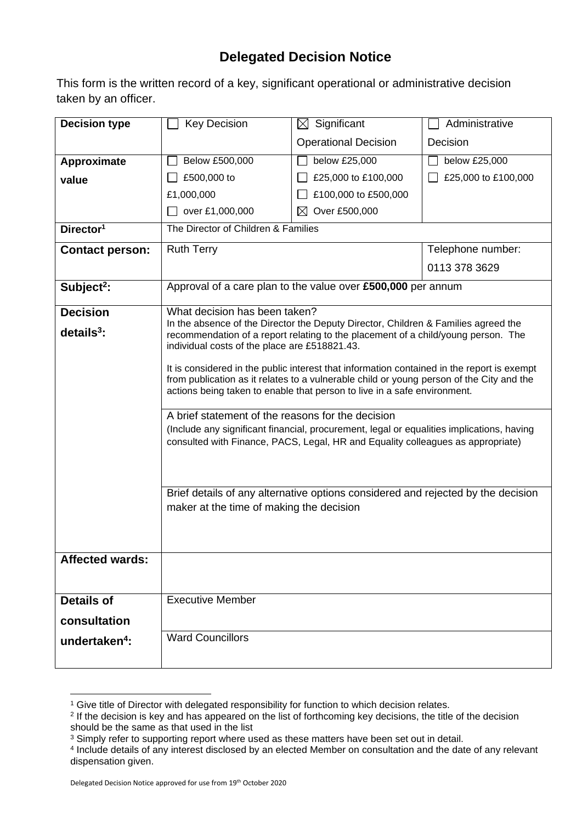## **Delegated Decision Notice**

This form is the written record of a key, significant operational or administrative decision taken by an officer.

| <b>Decision type</b>      | <b>Key Decision</b>                                                                                                                                                     | Significant<br>$\boxtimes$   | Administrative      |  |  |
|---------------------------|-------------------------------------------------------------------------------------------------------------------------------------------------------------------------|------------------------------|---------------------|--|--|
|                           |                                                                                                                                                                         | <b>Operational Decision</b>  | Decision            |  |  |
| Approximate               | Below £500,000                                                                                                                                                          | below £25,000                | below £25,000       |  |  |
| value                     | £500,000 to                                                                                                                                                             | £25,000 to £100,000          | £25,000 to £100,000 |  |  |
|                           | £1,000,000                                                                                                                                                              | £100,000 to £500,000         |                     |  |  |
|                           | over £1,000,000                                                                                                                                                         | Over £500,000<br>$\boxtimes$ |                     |  |  |
| Director <sup>1</sup>     | The Director of Children & Families                                                                                                                                     |                              |                     |  |  |
| <b>Contact person:</b>    | <b>Ruth Terry</b>                                                                                                                                                       |                              | Telephone number:   |  |  |
|                           |                                                                                                                                                                         |                              | 0113 378 3629       |  |  |
| Subject <sup>2</sup> :    | Approval of a care plan to the value over £500,000 per annum                                                                                                            |                              |                     |  |  |
| <b>Decision</b>           | What decision has been taken?                                                                                                                                           |                              |                     |  |  |
| $details3$ :              | In the absence of the Director the Deputy Director, Children & Families agreed the<br>recommendation of a report relating to the placement of a child/young person. The |                              |                     |  |  |
|                           | individual costs of the place are £518821.43.                                                                                                                           |                              |                     |  |  |
|                           | It is considered in the public interest that information contained in the report is exempt                                                                              |                              |                     |  |  |
|                           | from publication as it relates to a vulnerable child or young person of the City and the                                                                                |                              |                     |  |  |
|                           | actions being taken to enable that person to live in a safe environment.                                                                                                |                              |                     |  |  |
|                           | A brief statement of the reasons for the decision                                                                                                                       |                              |                     |  |  |
|                           | (Include any significant financial, procurement, legal or equalities implications, having                                                                               |                              |                     |  |  |
|                           | consulted with Finance, PACS, Legal, HR and Equality colleagues as appropriate)                                                                                         |                              |                     |  |  |
|                           |                                                                                                                                                                         |                              |                     |  |  |
|                           | Brief details of any alternative options considered and rejected by the decision                                                                                        |                              |                     |  |  |
|                           | maker at the time of making the decision                                                                                                                                |                              |                     |  |  |
|                           |                                                                                                                                                                         |                              |                     |  |  |
|                           |                                                                                                                                                                         |                              |                     |  |  |
| <b>Affected wards:</b>    |                                                                                                                                                                         |                              |                     |  |  |
|                           |                                                                                                                                                                         |                              |                     |  |  |
| <b>Details of</b>         | <b>Executive Member</b>                                                                                                                                                 |                              |                     |  |  |
| consultation              |                                                                                                                                                                         |                              |                     |  |  |
| undertaken <sup>4</sup> : | <b>Ward Councillors</b>                                                                                                                                                 |                              |                     |  |  |
|                           |                                                                                                                                                                         |                              |                     |  |  |
|                           |                                                                                                                                                                         |                              |                     |  |  |

<sup>&</sup>lt;sup>1</sup> Give title of Director with delegated responsibility for function to which decision relates.

<sup>2</sup> If the decision is key and has appeared on the list of forthcoming key decisions, the title of the decision should be the same as that used in the list

<sup>&</sup>lt;sup>3</sup> Simply refer to supporting report where used as these matters have been set out in detail.

<sup>4</sup> Include details of any interest disclosed by an elected Member on consultation and the date of any relevant dispensation given.